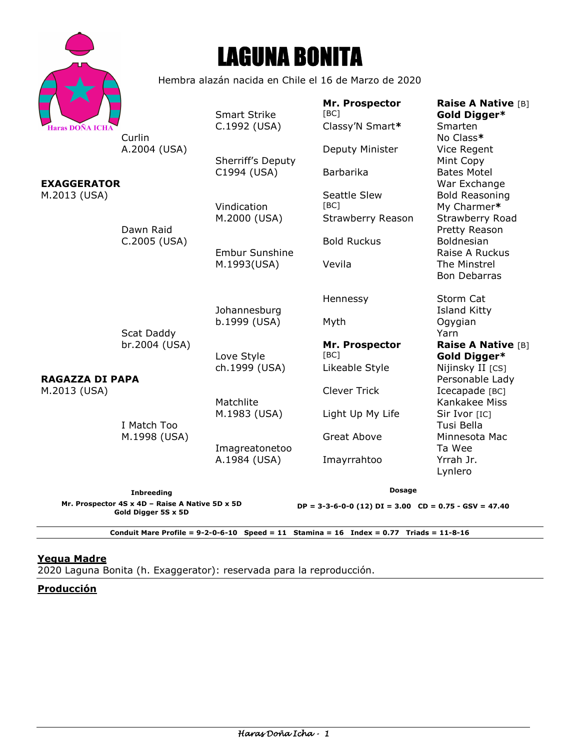|                        |                                                      | <b>LAGUNA BONITA</b>                 |                                           |                                                                            |
|------------------------|------------------------------------------------------|--------------------------------------|-------------------------------------------|----------------------------------------------------------------------------|
|                        | Hembra alazán nacida en Chile el 16 de Marzo de 2020 |                                      |                                           |                                                                            |
| <b>Haras DOÑA ICHA</b> | Curlin                                               | <b>Smart Strike</b><br>C.1992 (USA)  | Mr. Prospector<br>[BC]<br>Classy'N Smart* | <b>Raise A Native [B]</b><br>Gold Digger*<br><b>Smarten</b><br>No Class*   |
|                        | A.2004 (USA)                                         | Sherriff's Deputy                    | Deputy Minister                           | Vice Regent<br>Mint Copy                                                   |
| <b>EXAGGERATOR</b>     | Dawn Raid<br>C.2005 (USA)                            | C1994 (USA)                          | <b>Barbarika</b>                          | <b>Bates Motel</b><br>War Exchange                                         |
| M.2013 (USA)           |                                                      | Vindication                          | <b>Seattle Slew</b><br>[BC]               | <b>Bold Reasoning</b><br>My Charmer*                                       |
|                        |                                                      | M.2000 (USA)                         | Strawberry Reason                         | Strawberry Road<br>Pretty Reason                                           |
|                        |                                                      | <b>Embur Sunshine</b><br>M.1993(USA) | <b>Bold Ruckus</b><br>Vevila              | <b>Boldnesian</b><br>Raise A Ruckus<br>The Minstrel<br><b>Bon Debarras</b> |
|                        |                                                      | Johannesburg                         | Hennessy                                  | Storm Cat<br><b>Island Kitty</b>                                           |
|                        | Scat Daddy                                           | b.1999 (USA)                         | Myth                                      | Ogygian<br>Yarn                                                            |
|                        | br.2004 (USA)                                        | Love Style<br>ch.1999 (USA)          | Mr. Prospector<br>[BC]                    | <b>Raise A Native [B]</b><br>Gold Digger*                                  |
| <b>RAGAZZA DI PAPA</b> |                                                      |                                      | Likeable Style                            | Nijinsky II [CS]<br>Personable Lady                                        |
| M.2013 (USA)           |                                                      | Matchlite                            | <b>Clever Trick</b>                       | Icecapade [BC]<br>Kankakee Miss                                            |
|                        | I Match Too                                          | M.1983 (USA)                         | Light Up My Life                          | Sir Ivor [IC]<br>Tusi Bella                                                |
|                        | M.1998 (USA)                                         | Imagreatonetoo                       | <b>Great Above</b>                        | Minnesota Mac<br>Ta Wee                                                    |
|                        |                                                      | A.1984 (USA)                         | Imayrrahtoo                               | Yrrah Jr.<br>Lynlero                                                       |
|                        | <b>Inbreeding</b>                                    |                                      | <b>Dosage</b>                             |                                                                            |

**Mr. Prospector 4S x 4D – Raise A Native 5D x 5D Gold Digger 5S x 5D** 

**DP = 3-3-6-0-0 (12) DI = 3.00 CD = 0.75 - GSV = 47.40** 

**Conduit Mare Profile = 9-2-0-6-10 Speed = 11 Stamina = 16 Index = 0.77 Triads = 11-8-16** 

### **Yegua Madre**

2020 Laguna Bonita (h. Exaggerator): reservada para la reproducción.

# **Producción**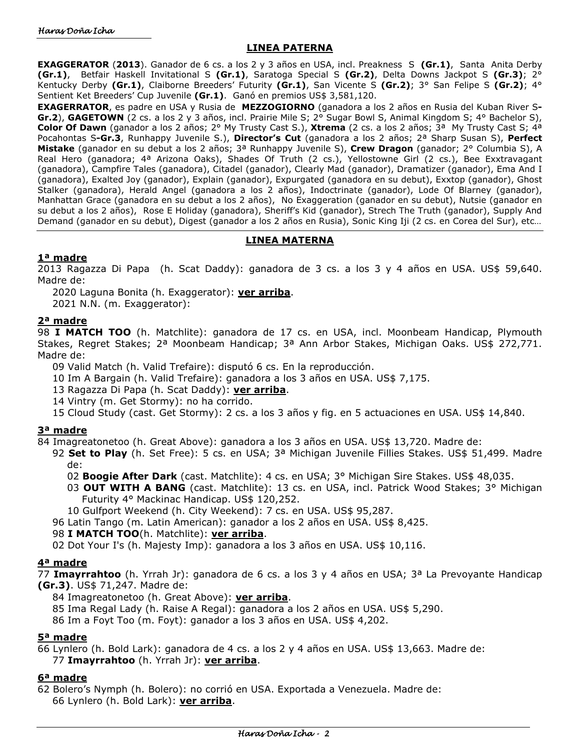### **LINEA PATERNA**

**EXAGGERATOR** (**2013**). Ganador de 6 cs. a los 2 y 3 años en USA, incl. Preakness S **(Gr.1)**, Santa Anita Derby **(Gr.1)**, Betfair Haskell Invitational S **(Gr.1)**, Saratoga Special S **(Gr.2)**, Delta Downs Jackpot S **(Gr.3)**; 2° Kentucky Derby **(Gr.1)**, Claiborne Breeders' Futurity **(Gr.1)**, San Vicente S **(Gr.2)**; 3° San Felipe S **(Gr.2)**; 4° Sentient Ket Breeders' Cup Juvenile **(Gr.1)**. Ganó en premios US\$ 3,581,120.

**EXAGERRATOR**, es padre en USA y Rusia de **MEZZOGIORNO** (ganadora a los 2 años en Rusia del Kuban River S**-Gr.2**), **GAGETOWN** (2 cs. a los 2 y 3 años, incl. Prairie Mile S; 2° Sugar Bowl S, Animal Kingdom S; 4° Bachelor S), **Color Of Dawn** (ganador a los 2 años; 2° My Trusty Cast S.), **Xtrema** (2 cs. a los 2 años; 3ª My Trusty Cast S; 4ª Pocahontas S**-Gr.3**, Runhappy Juvenile S.), **Director's Cut** (ganadora a los 2 años; 2ª Sharp Susan S), **Perfect Mistake** (ganador en su debut a los 2 años; 3ª Runhappy Juvenile S), **Crew Dragon** (ganador; 2° Columbia S), A Real Hero (ganadora; 4ª Arizona Oaks), Shades Of Truth (2 cs.), Yellostowne Girl (2 cs.), Bee Exxtravagant (ganadora), Campfire Tales (ganadora), Citadel (ganador), Clearly Mad (ganador), Dramatizer (ganador), Ema And I (ganadora), Exalted Joy (ganador), Explain (ganador), Expurgated (ganadora en su debut), Exxtop (ganador), Ghost Stalker (ganadora), Herald Angel (ganadora a los 2 años), Indoctrinate (ganador), Lode Of Blarney (ganador), Manhattan Grace (ganadora en su debut a los 2 años), No Exaggeration (ganador en su debut), Nutsie (ganador en su debut a los 2 años), Rose E Holiday (ganadora), Sheriff's Kid (ganador), Strech The Truth (ganador), Supply And Demand (ganador en su debut), Digest (ganador a los 2 años en Rusia), Sonic King Iji (2 cs. en Corea del Sur), etc…

### **LINEA MATERNA**

### **1ª madre**

2013 Ragazza Di Papa (h. Scat Daddy): ganadora de 3 cs. a los 3 y 4 años en USA. US\$ 59,640. Madre de:

2020 Laguna Bonita (h. Exaggerator): **ver arriba**.

2021 N.N. (m. Exaggerator):

## **2ª madre**

98 **I MATCH TOO** (h. Matchlite): ganadora de 17 cs. en USA, incl. Moonbeam Handicap, Plymouth Stakes, Regret Stakes; 2ª Moonbeam Handicap; 3ª Ann Arbor Stakes, Michigan Oaks. US\$ 272,771. Madre de:

09 Valid Match (h. Valid Trefaire): disputó 6 cs. En la reproducción.

10 Im A Bargain (h. Valid Trefaire): ganadora a los 3 años en USA. US\$ 7,175.

13 Ragazza Di Papa (h. Scat Daddy): **ver arriba**.

14 Vintry (m. Get Stormy): no ha corrido.

15 Cloud Study (cast. Get Stormy): 2 cs. a los 3 años y fig. en 5 actuaciones en USA. US\$ 14,840.

### **3ª madre**

84 Imagreatonetoo (h. Great Above): ganadora a los 3 años en USA. US\$ 13,720. Madre de:

- 92 **Set to Play** (h. Set Free): 5 cs. en USA; 3ª Michigan Juvenile Fillies Stakes. US\$ 51,499. Madre de:
	- 02 **Boogie After Dark** (cast. Matchlite): 4 cs. en USA; 3° Michigan Sire Stakes. US\$ 48,035.
	- 03 **OUT WITH A BANG** (cast. Matchlite): 13 cs. en USA, incl. Patrick Wood Stakes; 3° Michigan Futurity 4° Mackinac Handicap. US\$ 120,252.

10 Gulfport Weekend (h. City Weekend): 7 cs. en USA. US\$ 95,287.

96 Latin Tango (m. Latin American): ganador a los 2 años en USA. US\$ 8,425.

### 98 **I MATCH TOO**(h. Matchlite): **ver arriba**.

02 Dot Your I's (h. Majesty Imp): ganadora a los 3 años en USA. US\$ 10,116.

### **4ª madre**

77 **Imayrrahtoo** (h. Yrrah Jr): ganadora de 6 cs. a los 3 y 4 años en USA; 3ª La Prevoyante Handicap **(Gr.3)**. US\$ 71,247. Madre de:

84 Imagreatonetoo (h. Great Above): **ver arriba**.

85 Ima Regal Lady (h. Raise A Regal): ganadora a los 2 años en USA. US\$ 5,290.

86 Im a Foyt Too (m. Foyt): ganador a los 3 años en USA. US\$ 4,202.

### **5ª madre**

66 Lynlero (h. Bold Lark): ganadora de 4 cs. a los 2 y 4 años en USA. US\$ 13,663. Madre de: 77 **Imayrrahtoo** (h. Yrrah Jr): **ver arriba**.

### **6ª madre**

62 Bolero's Nymph (h. Bolero): no corrió en USA. Exportada a Venezuela. Madre de: 66 Lynlero (h. Bold Lark): **ver arriba**.